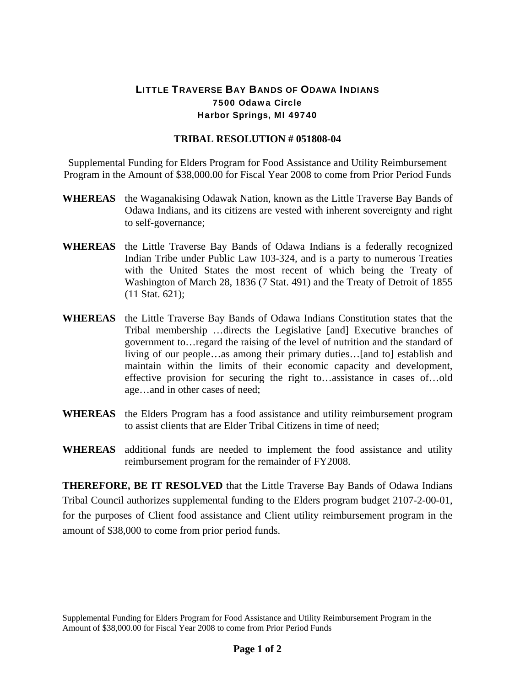## LITTLE TRAVERSE BAY BANDS OF ODAWA INDIANS 7500 Odawa Circle Harbor Springs, MI 49740

## **TRIBAL RESOLUTION # 051808-04**

Supplemental Funding for Elders Program for Food Assistance and Utility Reimbursement Program in the Amount of \$38,000.00 for Fiscal Year 2008 to come from Prior Period Funds

- **WHEREAS** the Waganakising Odawak Nation, known as the Little Traverse Bay Bands of Odawa Indians, and its citizens are vested with inherent sovereignty and right to self-governance;
- **WHEREAS** the Little Traverse Bay Bands of Odawa Indians is a federally recognized Indian Tribe under Public Law 103-324, and is a party to numerous Treaties with the United States the most recent of which being the Treaty of Washington of March 28, 1836 (7 Stat. 491) and the Treaty of Detroit of 1855 (11 Stat. 621);
- **WHEREAS** the Little Traverse Bay Bands of Odawa Indians Constitution states that the Tribal membership …directs the Legislative [and] Executive branches of government to…regard the raising of the level of nutrition and the standard of living of our people…as among their primary duties…[and to] establish and maintain within the limits of their economic capacity and development, effective provision for securing the right to…assistance in cases of…old age…and in other cases of need;
- **WHEREAS** the Elders Program has a food assistance and utility reimbursement program to assist clients that are Elder Tribal Citizens in time of need;
- **WHEREAS** additional funds are needed to implement the food assistance and utility reimbursement program for the remainder of FY2008.

**THEREFORE, BE IT RESOLVED** that the Little Traverse Bay Bands of Odawa Indians Tribal Council authorizes supplemental funding to the Elders program budget 2107-2-00-01, for the purposes of Client food assistance and Client utility reimbursement program in the amount of \$38,000 to come from prior period funds.

Supplemental Funding for Elders Program for Food Assistance and Utility Reimbursement Program in the Amount of \$38,000.00 for Fiscal Year 2008 to come from Prior Period Funds